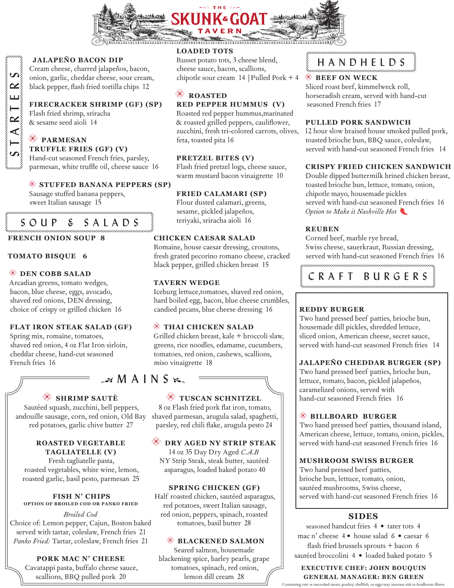

#### **JALAPEÑO BACON DIP**

Cream cheese, charred jalapeños, bacon, onion, garlic, cheddar cheese, sour cream, black pepper, flash fried tortilla chips 12

#### **FIRECRACKER SHRIMP (GF) (SP)**

Flash fried shrimp, sriracha & sesame seed aioli 14

#### **PARMESAN TRUFFLE FRIES (GF) (V)**

Hand-cut seasoned French fries, parsley, parmesan, white truffle oil, cheese sauce 16

#### **STUFFED BANANA PEPPERS (SP)**

Sausage stuffed banana peppers, sweet Italian sausage 15 

# SOUP & SALADS

#### **FRENCH ONION SOUP 8**

#### **TOMATO BISQUE 6**

#### **DEN COBB SALAD**

Arcadian greens, tomato wedges, bacon, blue cheese, eggs, avocado, shaved red onions, DEN dressing, choice of crispy or grilled chicken 16

#### **FLAT IRON STEAK SALAD (GF)**

Spring mix, romaine, tomatoes, shaved red onion, 4 oz Flat Iron sirloin, cheddar cheese, hand-cut seasoned French fries 16

# $\approx$  M A I N S  $\approx$

#### **SHRIMP SAUTÈ**

Sautéed squash, zucchini, bell peppers, andouille sausage, corn, red onion, Old Bay red potatoes, garlic chive butter 27

#### **ROASTED VEGETABLE TAGLIATELLE (V)**

Fresh tagliatelle pasta, roasted vegetables, white wine, lemon, roasted garlic, basil pesto, parmesan 25

# **FISH N' CHIPS OPTION OF BROILED COD OR PANKO FRIED**

*Broiled Cod* Choice of: Lemon pepper, Cajun, Boston baked served with tartar, coleslaw, French fries 21 *Panko Fried:* Tartar, coleslaw, French fries 21

#### **PORK MAC N' CHEESE**

Cavatappi pasta, buffalo cheese sauce, scallions, BBQ pulled pork 20

### **LOADED TOTS**

Russet potato tots, 3 cheese blend, cheese sauce, bacon, scallions, chipotle sour cream 14 |Pulled Pork + 4

# **ROASTED**

**RED PEPPER HUMMUS (V)**

Roasted red pepper hummus,marinated & roasted grilled peppers, cauliflower, zucchini, fresh tri-colored carrots, olives, feta, toasted pita 16

### **PRETZEL BITES (V)**

Flash fried pretzel logs, cheese sauce, warm mustard bacon vinaigrette 10

#### **FRIED CALAMARI (SP)**

Flour dusted calamari, greens, sesame, pickled jalapeños, teriyaki, sriracha aioli 16

#### **CHICKEN CAESAR SALAD**

Romaine, house caesar dressing, croutons, fresh grated pecorino romano cheese, cracked black pepper, grilled chicken breast 15

#### **TAVERN WEDGE**

Iceburg lettuce,tomatoes, shaved red onion, hard boiled egg, bacon, blue cheese crumbles, candied pecans, blue cheese dressing 16

#### **THAI CHICKEN SALAD**

Grilled chicken breast, kale + broccoli slaw, greens, rice noodles, edamame, cucumbers, tomatoes, red onion, cashews, scallions, miso vinaigrette 18

 **TUSCAN SCHNITZEL** 8 oz Flash fried pork flat iron, tomato, shaved parmesan, arugula salad, spaghetti, parsley, red chili flake, arugula pesto 24

 **DRY AGED NY STRIP STEAK** 14 oz 35 Day Dry Aged *C.A.B* NY Strip Steak, steak butter, sautéed asparagus, loaded baked potato 40

#### **SPRING CHICKEN (GF)**

Half roasted chicken, sautéed asparagus, red potatoes, sweet Italian sausage, red onion, peppers, spinach, roasted tomatoes, basil butter 28

#### **BLACKENED SALMON**

Seared salmon, housemade blackening spice, barley pearls, grape tomatoes, spinach, red onion, lemon dill cream 28

# HANDHELDS

#### **BEEF ON WECK**

Sliced roast beef, kimmelweck roll, horseradish cream, served with hand-cut seasoned French fries 17

#### **PULLED PORK SANDWICH**

12 hour slow braised house smoked pulled pork, toasted brioche bun, BBQ sauce, coleslaw, served with hand-cut seasoned French fries 14

#### **CRISPY FRIED CHICKEN SANDWICH**

Double dipped buttermilk brined chicken breast, toasted brioche bun, lettuce, tomato, onion, chipotle mayo, housemade pickles served with hand-cut seasoned French fries 16 *Option to Make it Nashville Hot* 

#### **REUBEN**

Corned beef, marble rye bread, Swiss cheese, sauerkraut, Russian dressing, served with hand-cut seasoned French fries 16



#### **REDDY BURGER**

Two hand pressed beef patties, brioche bun, housemade dill pickles, shredded lettuce, sliced onion, American cheese, secret sauce, served with hand-cut seasoned French fries 14

#### **JALAPEÑO CHEDDAR BURGER (SP)**

Two hand pressed beef patties, brioche bun, lettuce, tomato, bacon, pickled jalapeños, caramelized onions, served with hand-cut seasoned French fries 16

#### **BILLBOARD BURGER**

Two hand pressed beef patties, thousand island, American cheese, lettuce, tomato, onion, pickles, served with hand-cut seasoned French fries 16

#### **MUSHROOM SWISS BURGER**

Two hand pressed beef patties, brioche bun, lettuce, tomato, onion, sautéed mushrooms, Swiss cheese, served with hand-cut seasoned French fries 16

#### **SIDES**

seasoned handcut fries 4 **•** tater tots 4 mac n' cheese 4 **•** house salad 6 **•** caesar 6 flash fried brussels sprouts + bacon 6 sautéed broccolini 4 **•** loaded baked potato 5

**EXECUTIVE CHEF: JOHN BOUQUIN GENERAL MANAGER: BEN GREEN**

uncooked meats, poultry, shellfish, or eggs may increase